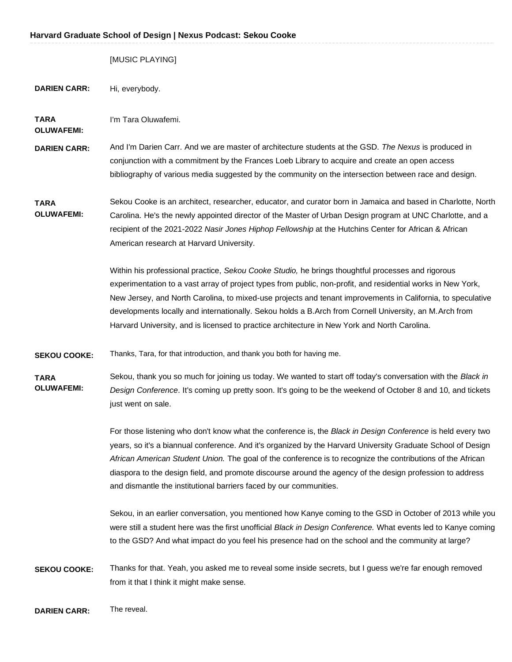|                                  | [MUSIC PLAYING]                                                                                                                                                                                                                                                                                                                                                                                                                                                                                                                            |
|----------------------------------|--------------------------------------------------------------------------------------------------------------------------------------------------------------------------------------------------------------------------------------------------------------------------------------------------------------------------------------------------------------------------------------------------------------------------------------------------------------------------------------------------------------------------------------------|
| <b>DARIEN CARR:</b>              | Hi, everybody.                                                                                                                                                                                                                                                                                                                                                                                                                                                                                                                             |
| <b>TARA</b><br><b>OLUWAFEMI:</b> | I'm Tara Oluwafemi.                                                                                                                                                                                                                                                                                                                                                                                                                                                                                                                        |
| <b>DARIEN CARR:</b>              | And I'm Darien Carr. And we are master of architecture students at the GSD. The Nexus is produced in<br>conjunction with a commitment by the Frances Loeb Library to acquire and create an open access<br>bibliography of various media suggested by the community on the intersection between race and design.                                                                                                                                                                                                                            |
| <b>TARA</b><br><b>OLUWAFEMI:</b> | Sekou Cooke is an architect, researcher, educator, and curator born in Jamaica and based in Charlotte, North<br>Carolina. He's the newly appointed director of the Master of Urban Design program at UNC Charlotte, and a<br>recipient of the 2021-2022 Nasir Jones Hiphop Fellowship at the Hutchins Center for African & African<br>American research at Harvard University.                                                                                                                                                             |
|                                  | Within his professional practice, Sekou Cooke Studio, he brings thoughtful processes and rigorous<br>experimentation to a vast array of project types from public, non-profit, and residential works in New York,<br>New Jersey, and North Carolina, to mixed-use projects and tenant improvements in California, to speculative<br>developments locally and internationally. Sekou holds a B.Arch from Cornell University, an M.Arch from<br>Harvard University, and is licensed to practice architecture in New York and North Carolina. |
| <b>SEKOU COOKE:</b>              | Thanks, Tara, for that introduction, and thank you both for having me.                                                                                                                                                                                                                                                                                                                                                                                                                                                                     |
| <b>TARA</b><br><b>OLUWAFEMI:</b> | Sekou, thank you so much for joining us today. We wanted to start off today's conversation with the Black in<br>Design Conference. It's coming up pretty soon. It's going to be the weekend of October 8 and 10, and tickets<br>just went on sale.                                                                                                                                                                                                                                                                                         |
|                                  | For those listening who don't know what the conference is, the Black in Design Conference is held every two<br>years, so it's a biannual conference. And it's organized by the Harvard University Graduate School of Design<br>African American Student Union. The goal of the conference is to recognize the contributions of the African<br>diaspora to the design field, and promote discourse around the agency of the design profession to address<br>and dismantle the institutional barriers faced by our communities.              |
|                                  | Sekou, in an earlier conversation, you mentioned how Kanye coming to the GSD in October of 2013 while you<br>were still a student here was the first unofficial Black in Design Conference. What events led to Kanye coming<br>to the GSD? And what impact do you feel his presence had on the school and the community at large?                                                                                                                                                                                                          |
| <b>SEKOU COOKE:</b>              | Thanks for that. Yeah, you asked me to reveal some inside secrets, but I guess we're far enough removed<br>from it that I think it might make sense.                                                                                                                                                                                                                                                                                                                                                                                       |

**DARIEN CARR:** The reveal.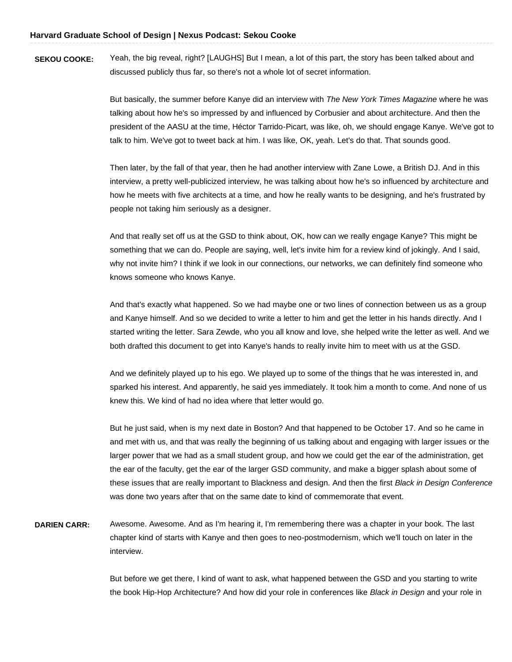**SEKOU COOKE:** Yeah, the big reveal, right? [LAUGHS] But I mean, a lot of this part, the story has been talked about and discussed publicly thus far, so there's not a whole lot of secret information.

> But basically, the summer before Kanye did an interview with *The New York Times Magazine* where he was talking about how he's so impressed by and influenced by Corbusier and about architecture. And then the president of the AASU at the time, Héctor Tarrido-Picart, was like, oh, we should engage Kanye. We've got to talk to him. We've got to tweet back at him. I was like, OK, yeah. Let's do that. That sounds good.

 Then later, by the fall of that year, then he had another interview with Zane Lowe, a British DJ. And in this interview, a pretty well-publicized interview, he was talking about how he's so influenced by architecture and how he meets with five architects at a time, and how he really wants to be designing, and he's frustrated by people not taking him seriously as a designer.

 And that really set off us at the GSD to think about, OK, how can we really engage Kanye? This might be something that we can do. People are saying, well, let's invite him for a review kind of jokingly. And I said, why not invite him? I think if we look in our connections, our networks, we can definitely find someone who knows someone who knows Kanye.

 And that's exactly what happened. So we had maybe one or two lines of connection between us as a group and Kanye himself. And so we decided to write a letter to him and get the letter in his hands directly. And I started writing the letter. Sara Zewde, who you all know and love, she helped write the letter as well. And we both drafted this document to get into Kanye's hands to really invite him to meet with us at the GSD.

 And we definitely played up to his ego. We played up to some of the things that he was interested in, and sparked his interest. And apparently, he said yes immediately. It took him a month to come. And none of us knew this. We kind of had no idea where that letter would go.

 But he just said, when is my next date in Boston? And that happened to be October 17. And so he came in and met with us, and that was really the beginning of us talking about and engaging with larger issues or the larger power that we had as a small student group, and how we could get the ear of the administration, get the ear of the faculty, get the ear of the larger GSD community, and make a bigger splash about some of these issues that are really important to Blackness and design. And then the first *Black in Design Conference*  was done two years after that on the same date to kind of commemorate that event.

 **DARIEN CARR:** Awesome. Awesome. And as I'm hearing it, I'm remembering there was a chapter in your book. The last chapter kind of starts with Kanye and then goes to neo-postmodernism, which we'll touch on later in the interview.

> But before we get there, I kind of want to ask, what happened between the GSD and you starting to write the book Hip-Hop Architecture? And how did your role in conferences like *Black in Design* and your role in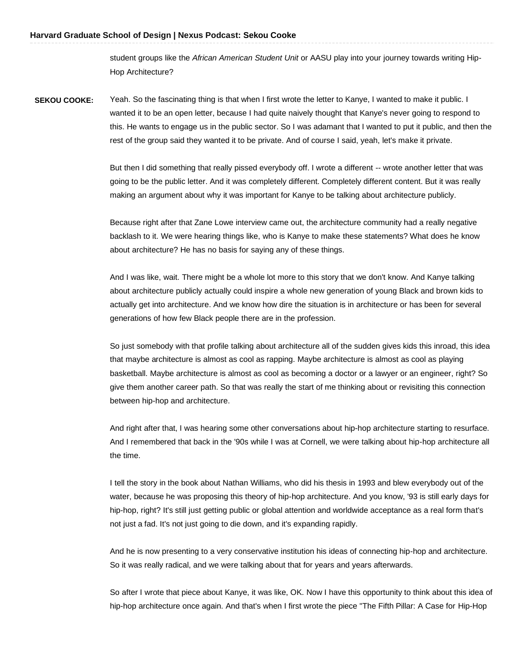student groups like the *African American Student Unit* or AASU play into your journey towards writing Hip-Hop Architecture?

 **SEKOU COOKE:** Yeah. So the fascinating thing is that when I first wrote the letter to Kanye, I wanted to make it public. I wanted it to be an open letter, because I had quite naively thought that Kanye's never going to respond to this. He wants to engage us in the public sector. So I was adamant that I wanted to put it public, and then the rest of the group said they wanted it to be private. And of course I said, yeah, let's make it private.

> But then I did something that really pissed everybody off. I wrote a different -- wrote another letter that was going to be the public letter. And it was completely different. Completely different content. But it was really making an argument about why it was important for Kanye to be talking about architecture publicly.

> Because right after that Zane Lowe interview came out, the architecture community had a really negative backlash to it. We were hearing things like, who is Kanye to make these statements? What does he know about architecture? He has no basis for saying any of these things.

> And I was like, wait. There might be a whole lot more to this story that we don't know. And Kanye talking about architecture publicly actually could inspire a whole new generation of young Black and brown kids to actually get into architecture. And we know how dire the situation is in architecture or has been for several generations of how few Black people there are in the profession.

 So just somebody with that profile talking about architecture all of the sudden gives kids this inroad, this idea that maybe architecture is almost as cool as rapping. Maybe architecture is almost as cool as playing basketball. Maybe architecture is almost as cool as becoming a doctor or a lawyer or an engineer, right? So give them another career path. So that was really the start of me thinking about or revisiting this connection between hip-hop and architecture.

 And right after that, I was hearing some other conversations about hip-hop architecture starting to resurface. And I remembered that back in the '90s while I was at Cornell, we were talking about hip-hop architecture all the time.

 I tell the story in the book about Nathan Williams, who did his thesis in 1993 and blew everybody out of the water, because he was proposing this theory of hip-hop architecture. And you know, '93 is still early days for hip-hop, right? It's still just getting public or global attention and worldwide acceptance as a real form that's not just a fad. It's not just going to die down, and it's expanding rapidly.

 And he is now presenting to a very conservative institution his ideas of connecting hip-hop and architecture. So it was really radical, and we were talking about that for years and years afterwards.

 So after I wrote that piece about Kanye, it was like, OK. Now I have this opportunity to think about this idea of hip-hop architecture once again. And that's when I first wrote the piece "The Fifth Pillar: A Case for Hip-Hop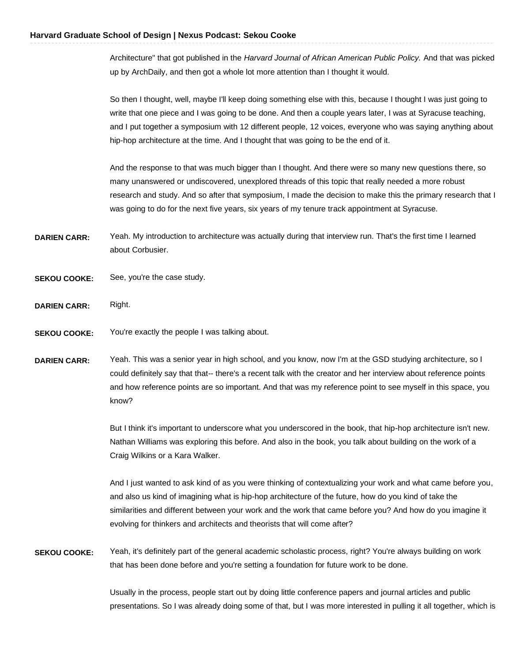Architecture" that got published in the *Harvard Journal of African American Public Policy.* And that was picked up by ArchDaily, and then got a whole lot more attention than I thought it would.

 So then I thought, well, maybe I'll keep doing something else with this, because I thought I was just going to write that one piece and I was going to be done. And then a couple years later, I was at Syracuse teaching, and I put together a symposium with 12 different people, 12 voices, everyone who was saying anything about hip-hop architecture at the time. And I thought that was going to be the end of it.

 And the response to that was much bigger than I thought. And there were so many new questions there, so many unanswered or undiscovered, unexplored threads of this topic that really needed a more robust research and study. And so after that symposium, I made the decision to make this the primary research that I was going to do for the next five years, six years of my tenure track appointment at Syracuse.

- **DARIEN CARR:** Yeah. My introduction to architecture was actually during that interview run. That's the first time I learned about Corbusier.
- **SEKOU COOKE:** See, you're the case study.
- **DARIEN CARR:** Right.
- **SEKOU COOKE:** You're exactly the people I was talking about.

**DARIEN CARR:** Yeah. This was a senior year in high school, and you know, now I'm at the GSD studying architecture, so I could definitely say that that-- there's a recent talk with the creator and her interview about reference points and how reference points are so important. And that was my reference point to see myself in this space, you know?

> But I think it's important to underscore what you underscored in the book, that hip-hop architecture isn't new. Nathan Williams was exploring this before. And also in the book, you talk about building on the work of a Craig Wilkins or a Kara Walker.

> And I just wanted to ask kind of as you were thinking of contextualizing your work and what came before you, and also us kind of imagining what is hip-hop architecture of the future, how do you kind of take the similarities and different between your work and the work that came before you? And how do you imagine it evolving for thinkers and architects and theorists that will come after?

**SEKOU COOKE:** Yeah, it's definitely part of the general academic scholastic process, right? You're always building on work that has been done before and you're setting a foundation for future work to be done.

> Usually in the process, people start out by doing little conference papers and journal articles and public presentations. So I was already doing some of that, but I was more interested in pulling it all together, which is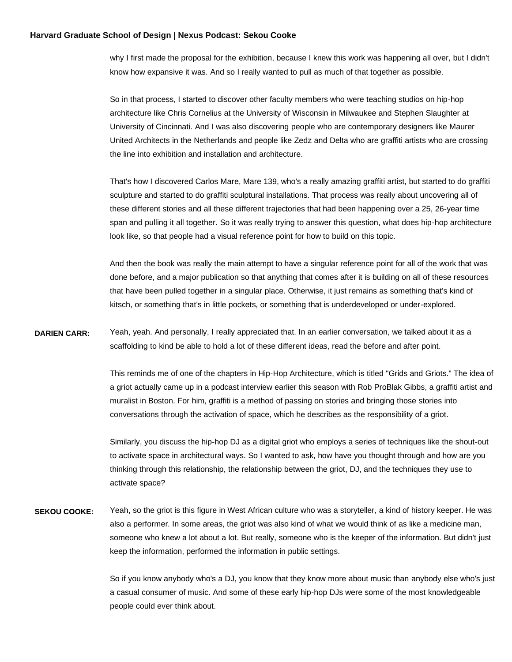why I first made the proposal for the exhibition, because I knew this work was happening all over, but I didn't know how expansive it was. And so I really wanted to pull as much of that together as possible.

 So in that process, I started to discover other faculty members who were teaching studios on hip-hop architecture like Chris Cornelius at the University of Wisconsin in Milwaukee and Stephen Slaughter at University of Cincinnati. And I was also discovering people who are contemporary designers like Maurer United Architects in the Netherlands and people like Zedz and Delta who are graffiti artists who are crossing the line into exhibition and installation and architecture.

 That's how I discovered Carlos Mare, Mare 139, who's a really amazing graffiti artist, but started to do graffiti sculpture and started to do graffiti sculptural installations. That process was really about uncovering all of these different stories and all these different trajectories that had been happening over a 25, 26-year time span and pulling it all together. So it was really trying to answer this question, what does hip-hop architecture look like, so that people had a visual reference point for how to build on this topic.

 And then the book was really the main attempt to have a singular reference point for all of the work that was done before, and a major publication so that anything that comes after it is building on all of these resources that have been pulled together in a singular place. Otherwise, it just remains as something that's kind of kitsch, or something that's in little pockets, or something that is underdeveloped or under-explored.

**DARIEN CARR:** Yeah, yeah. And personally, I really appreciated that. In an earlier conversation, we talked about it as a scaffolding to kind be able to hold a lot of these different ideas, read the before and after point.

> This reminds me of one of the chapters in Hip-Hop Architecture, which is titled "Grids and Griots." The idea of a griot actually came up in a podcast interview earlier this season with Rob ProBlak Gibbs, a graffiti artist and muralist in Boston. For him, graffiti is a method of passing on stories and bringing those stories into conversations through the activation of space, which he describes as the responsibility of a griot.

 Similarly, you discuss the hip-hop DJ as a digital griot who employs a series of techniques like the shout-out to activate space in architectural ways. So I wanted to ask, how have you thought through and how are you thinking through this relationship, the relationship between the griot, DJ, and the techniques they use to activate space?

 **SEKOU COOKE:** Yeah, so the griot is this figure in West African culture who was a storyteller, a kind of history keeper. He was also a performer. In some areas, the griot was also kind of what we would think of as like a medicine man, someone who knew a lot about a lot. But really, someone who is the keeper of the information. But didn't just keep the information, performed the information in public settings.

> So if you know anybody who's a DJ, you know that they know more about music than anybody else who's just a casual consumer of music. And some of these early hip-hop DJs were some of the most knowledgeable people could ever think about.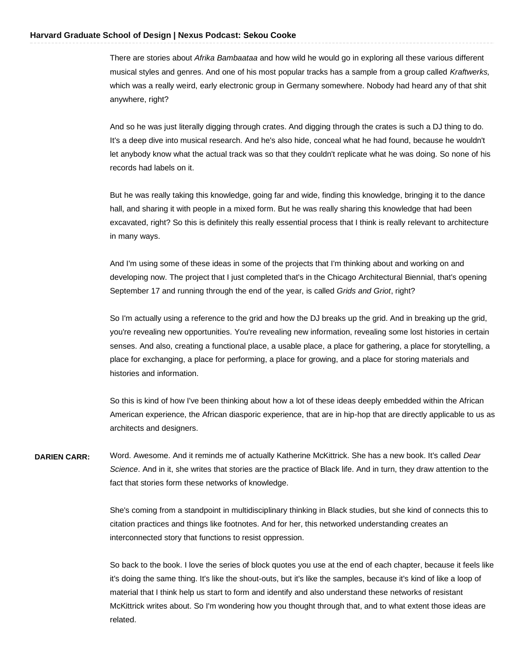There are stories about *Afrika Bambaataa* and how wild he would go in exploring all these various different musical styles and genres. And one of his most popular tracks has a sample from a group called *Kraftwerks,*  which was a really weird, early electronic group in Germany somewhere. Nobody had heard any of that shit anywhere, right?

 And so he was just literally digging through crates. And digging through the crates is such a DJ thing to do. It's a deep dive into musical research. And he's also hide, conceal what he had found, because he wouldn't let anybody know what the actual track was so that they couldn't replicate what he was doing. So none of his records had labels on it.

 But he was really taking this knowledge, going far and wide, finding this knowledge, bringing it to the dance hall, and sharing it with people in a mixed form. But he was really sharing this knowledge that had been excavated, right? So this is definitely this really essential process that I think is really relevant to architecture in many ways.

 And I'm using some of these ideas in some of the projects that I'm thinking about and working on and developing now. The project that I just completed that's in the Chicago Architectural Biennial, that's opening September 17 and running through the end of the year, is called *Grids and Griot*, right?

 So I'm actually using a reference to the grid and how the DJ breaks up the grid. And in breaking up the grid, you're revealing new opportunities. You're revealing new information, revealing some lost histories in certain senses. And also, creating a functional place, a usable place, a place for gathering, a place for storytelling, a place for exchanging, a place for performing, a place for growing, and a place for storing materials and histories and information.

 So this is kind of how I've been thinking about how a lot of these ideas deeply embedded within the African American experience, the African diasporic experience, that are in hip-hop that are directly applicable to us as architects and designers.

 **DARIEN CARR:** Word. Awesome. And it reminds me of actually Katherine McKittrick. She has a new book. It's called *Dear Science*. And in it, she writes that stories are the practice of Black life. And in turn, they draw attention to the fact that stories form these networks of knowledge.

> She's coming from a standpoint in multidisciplinary thinking in Black studies, but she kind of connects this to citation practices and things like footnotes. And for her, this networked understanding creates an interconnected story that functions to resist oppression.

 So back to the book. I love the series of block quotes you use at the end of each chapter, because it feels like it's doing the same thing. It's like the shout-outs, but it's like the samples, because it's kind of like a loop of material that I think help us start to form and identify and also understand these networks of resistant McKittrick writes about. So I'm wondering how you thought through that, and to what extent those ideas are related.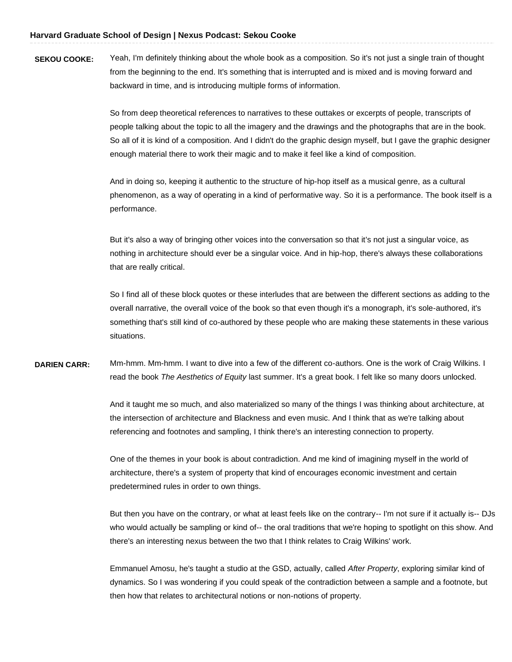**SEKOU COOKE:** Yeah, I'm definitely thinking about the whole book as a composition. So it's not just a single train of thought from the beginning to the end. It's something that is interrupted and is mixed and is moving forward and backward in time, and is introducing multiple forms of information.

> So from deep theoretical references to narratives to these outtakes or excerpts of people, transcripts of people talking about the topic to all the imagery and the drawings and the photographs that are in the book. So all of it is kind of a composition. And I didn't do the graphic design myself, but I gave the graphic designer enough material there to work their magic and to make it feel like a kind of composition.

> And in doing so, keeping it authentic to the structure of hip-hop itself as a musical genre, as a cultural phenomenon, as a way of operating in a kind of performative way. So it is a performance. The book itself is a performance.

 But it's also a way of bringing other voices into the conversation so that it's not just a singular voice, as nothing in architecture should ever be a singular voice. And in hip-hop, there's always these collaborations that are really critical.

 So I find all of these block quotes or these interludes that are between the different sections as adding to the overall narrative, the overall voice of the book so that even though it's a monograph, it's sole-authored, it's something that's still kind of co-authored by these people who are making these statements in these various situations.

 **DARIEN CARR:** Mm-hmm. Mm-hmm. I want to dive into a few of the different co-authors. One is the work of Craig Wilkins. I read the book *The Aesthetics of Equity* last summer. It's a great book. I felt like so many doors unlocked.

> And it taught me so much, and also materialized so many of the things I was thinking about architecture, at the intersection of architecture and Blackness and even music. And I think that as we're talking about referencing and footnotes and sampling, I think there's an interesting connection to property.

 One of the themes in your book is about contradiction. And me kind of imagining myself in the world of architecture, there's a system of property that kind of encourages economic investment and certain predetermined rules in order to own things.

 But then you have on the contrary, or what at least feels like on the contrary-- I'm not sure if it actually is-- DJs who would actually be sampling or kind of-- the oral traditions that we're hoping to spotlight on this show. And there's an interesting nexus between the two that I think relates to Craig Wilkins' work.

 Emmanuel Amosu, he's taught a studio at the GSD, actually, called *After Property*, exploring similar kind of dynamics. So I was wondering if you could speak of the contradiction between a sample and a footnote, but then how that relates to architectural notions or non-notions of property.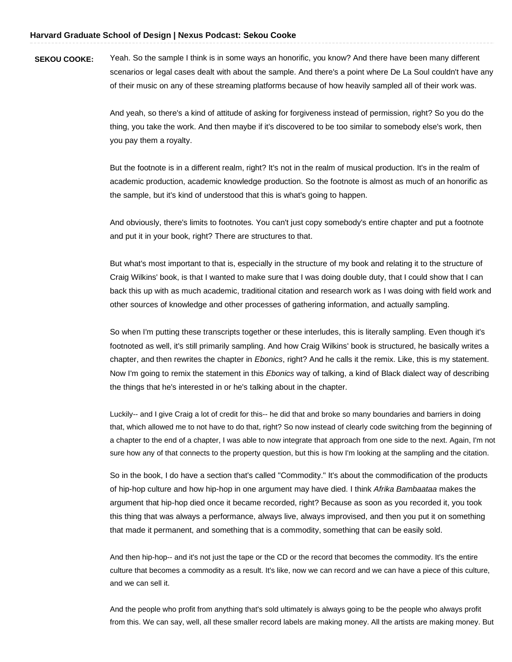**SEKOU COOKE:** Yeah. So the sample I think is in some ways an honorific, you know? And there have been many different scenarios or legal cases dealt with about the sample. And there's a point where De La Soul couldn't have any of their music on any of these streaming platforms because of how heavily sampled all of their work was.

> And yeah, so there's a kind of attitude of asking for forgiveness instead of permission, right? So you do the thing, you take the work. And then maybe if it's discovered to be too similar to somebody else's work, then you pay them a royalty.

 But the footnote is in a different realm, right? It's not in the realm of musical production. It's in the realm of academic production, academic knowledge production. So the footnote is almost as much of an honorific as the sample, but it's kind of understood that this is what's going to happen.

 And obviously, there's limits to footnotes. You can't just copy somebody's entire chapter and put a footnote and put it in your book, right? There are structures to that.

 But what's most important to that is, especially in the structure of my book and relating it to the structure of Craig Wilkins' book, is that I wanted to make sure that I was doing double duty, that I could show that I can back this up with as much academic, traditional citation and research work as I was doing with field work and other sources of knowledge and other processes of gathering information, and actually sampling.

 So when I'm putting these transcripts together or these interludes, this is literally sampling. Even though it's footnoted as well, it's still primarily sampling. And how Craig Wilkins' book is structured, he basically writes a chapter, and then rewrites the chapter in *Ebonics*, right? And he calls it the remix. Like, this is my statement. Now I'm going to remix the statement in this *Ebonics* way of talking, a kind of Black dialect way of describing the things that he's interested in or he's talking about in the chapter.

Luckily-- and I give Craig a lot of credit for this-- he did that and broke so many boundaries and barriers in doing that, which allowed me to not have to do that, right? So now instead of clearly code switching from the beginning of a chapter to the end of a chapter, I was able to now integrate that approach from one side to the next. Again, I'm not sure how any of that connects to the property question, but this is how I'm looking at the sampling and the citation.

 So in the book, I do have a section that's called "Commodity." It's about the commodification of the products of hip-hop culture and how hip-hop in one argument may have died. I think *Afrika Bambaataa* makes the argument that hip-hop died once it became recorded, right? Because as soon as you recorded it, you took this thing that was always a performance, always live, always improvised, and then you put it on something that made it permanent, and something that is a commodity, something that can be easily sold.

And then hip-hop-- and it's not just the tape or the CD or the record that becomes the commodity. It's the entire culture that becomes a commodity as a result. It's like, now we can record and we can have a piece of this culture, and we can sell it.

And the people who profit from anything that's sold ultimately is always going to be the people who always profit from this. We can say, well, all these smaller record labels are making money. All the artists are making money. But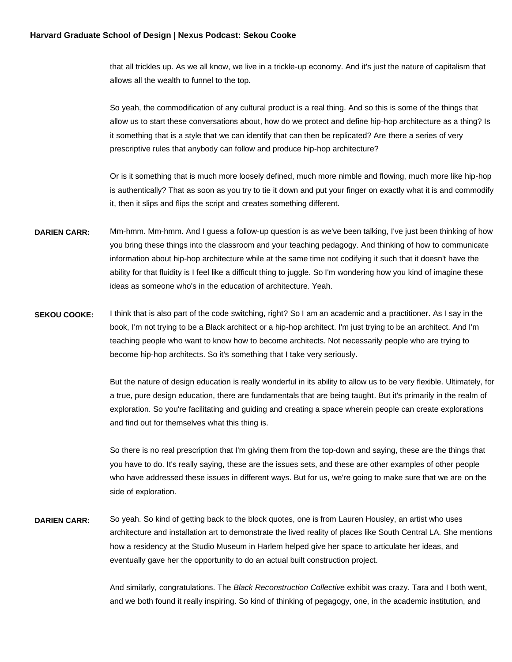that all trickles up. As we all know, we live in a trickle-up economy. And it's just the nature of capitalism that allows all the wealth to funnel to the top.

 So yeah, the commodification of any cultural product is a real thing. And so this is some of the things that allow us to start these conversations about, how do we protect and define hip-hop architecture as a thing? Is it something that is a style that we can identify that can then be replicated? Are there a series of very prescriptive rules that anybody can follow and produce hip-hop architecture?

 Or is it something that is much more loosely defined, much more nimble and flowing, much more like hip-hop is authentically? That as soon as you try to tie it down and put your finger on exactly what it is and commodify it, then it slips and flips the script and creates something different.

- **DARIEN CARR:** Mm-hmm. Mm-hmm. And I guess a follow-up question is as we've been talking, I've just been thinking of how you bring these things into the classroom and your teaching pedagogy. And thinking of how to communicate information about hip-hop architecture while at the same time not codifying it such that it doesn't have the ability for that fluidity is I feel like a difficult thing to juggle. So I'm wondering how you kind of imagine these ideas as someone who's in the education of architecture. Yeah.
- **SEKOU COOKE:** I think that is also part of the code switching, right? So I am an academic and a practitioner. As I say in the book, I'm not trying to be a Black architect or a hip-hop architect. I'm just trying to be an architect. And I'm teaching people who want to know how to become architects. Not necessarily people who are trying to become hip-hop architects. So it's something that I take very seriously.

 But the nature of design education is really wonderful in its ability to allow us to be very flexible. Ultimately, for a true, pure design education, there are fundamentals that are being taught. But it's primarily in the realm of exploration. So you're facilitating and guiding and creating a space wherein people can create explorations and find out for themselves what this thing is.

 So there is no real prescription that I'm giving them from the top-down and saying, these are the things that you have to do. It's really saying, these are the issues sets, and these are other examples of other people who have addressed these issues in different ways. But for us, we're going to make sure that we are on the side of exploration.

**DARIEN CARR:** So yeah. So kind of getting back to the block quotes, one is from Lauren Housley, an artist who uses architecture and installation art to demonstrate the lived reality of places like South Central LA. She mentions how a residency at the Studio Museum in Harlem helped give her space to articulate her ideas, and eventually gave her the opportunity to do an actual built construction project.

> And similarly, congratulations. The *Black Reconstruction Collective* exhibit was crazy. Tara and I both went, and we both found it really inspiring. So kind of thinking of pegagogy, one, in the academic institution, and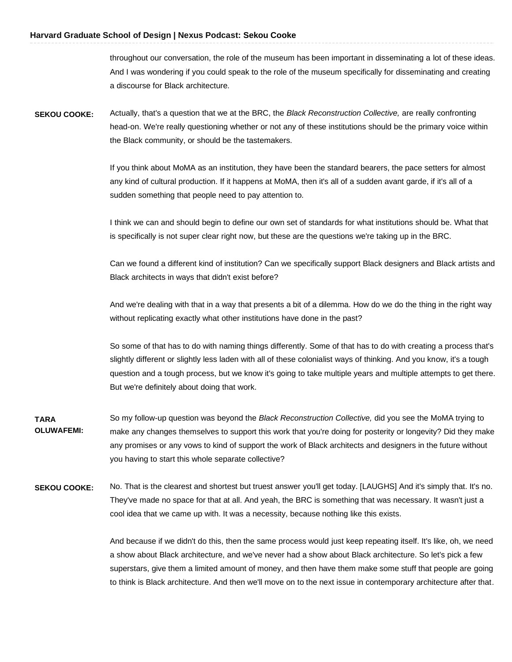throughout our conversation, the role of the museum has been important in disseminating a lot of these ideas. And I was wondering if you could speak to the role of the museum specifically for disseminating and creating a discourse for Black architecture.

 **SEKOU COOKE:** Actually, that's a question that we at the BRC, the *Black Reconstruction Collective,* are really confronting head-on. We're really questioning whether or not any of these institutions should be the primary voice within the Black community, or should be the tastemakers.

> If you think about MoMA as an institution, they have been the standard bearers, the pace setters for almost any kind of cultural production. If it happens at MoMA, then it's all of a sudden avant garde, if it's all of a sudden something that people need to pay attention to.

> I think we can and should begin to define our own set of standards for what institutions should be. What that is specifically is not super clear right now, but these are the questions we're taking up in the BRC.

 Can we found a different kind of institution? Can we specifically support Black designers and Black artists and Black architects in ways that didn't exist before?

 And we're dealing with that in a way that presents a bit of a dilemma. How do we do the thing in the right way without replicating exactly what other institutions have done in the past?

 So some of that has to do with naming things differently. Some of that has to do with creating a process that's slightly different or slightly less laden with all of these colonialist ways of thinking. And you know, it's a tough question and a tough process, but we know it's going to take multiple years and multiple attempts to get there. But we're definitely about doing that work.

- So my follow-up question was beyond the *Black Reconstruction Collective,* did you see the MoMA trying to make any changes themselves to support this work that you're doing for posterity or longevity? Did they make any promises or any vows to kind of support the work of Black architects and designers in the future without you having to start this whole separate collective? **TARA OLUWAFEMI:**
- **SEKOU COOKE:** No. That is the clearest and shortest but truest answer you'll get today. [LAUGHS] And it's simply that. It's no. They've made no space for that at all. And yeah, the BRC is something that was necessary. It wasn't just a cool idea that we came up with. It was a necessity, because nothing like this exists.

 And because if we didn't do this, then the same process would just keep repeating itself. It's like, oh, we need a show about Black architecture, and we've never had a show about Black architecture. So let's pick a few superstars, give them a limited amount of money, and then have them make some stuff that people are going to think is Black architecture. And then we'll move on to the next issue in contemporary architecture after that.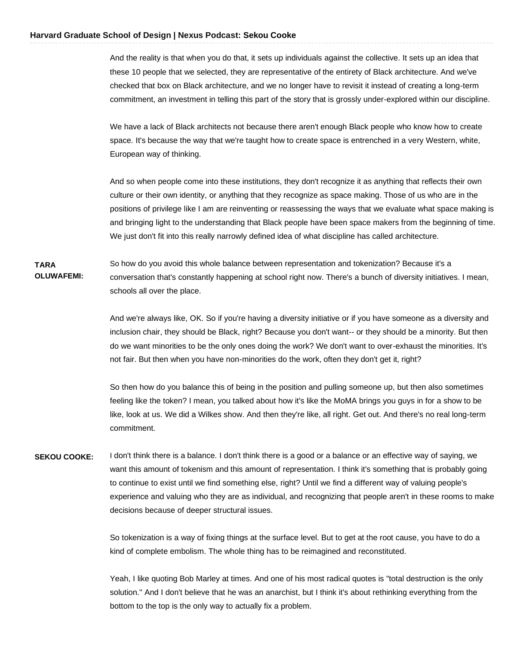And the reality is that when you do that, it sets up individuals against the collective. It sets up an idea that these 10 people that we selected, they are representative of the entirety of Black architecture. And we've checked that box on Black architecture, and we no longer have to revisit it instead of creating a long-term commitment, an investment in telling this part of the story that is grossly under-explored within our discipline.

 We have a lack of Black architects not because there aren't enough Black people who know how to create space. It's because the way that we're taught how to create space is entrenched in a very Western, white, European way of thinking.

 And so when people come into these institutions, they don't recognize it as anything that reflects their own culture or their own identity, or anything that they recognize as space making. Those of us who are in the positions of privilege like I am are reinventing or reassessing the ways that we evaluate what space making is and bringing light to the understanding that Black people have been space makers from the beginning of time. We just don't fit into this really narrowly defined idea of what discipline has called architecture.

 So how do you avoid this whole balance between representation and tokenization? Because it's a conversation that's constantly happening at school right now. There's a bunch of diversity initiatives. I mean, schools all over the place. **TARA OLUWAFEMI:** 

> And we're always like, OK. So if you're having a diversity initiative or if you have someone as a diversity and inclusion chair, they should be Black, right? Because you don't want-- or they should be a minority. But then do we want minorities to be the only ones doing the work? We don't want to over-exhaust the minorities. It's not fair. But then when you have non-minorities do the work, often they don't get it, right?

> So then how do you balance this of being in the position and pulling someone up, but then also sometimes feeling like the token? I mean, you talked about how it's like the MoMA brings you guys in for a show to be like, look at us. We did a Wilkes show. And then they're like, all right. Get out. And there's no real long-term commitment.

 **SEKOU COOKE:** I don't think there is a balance. I don't think there is a good or a balance or an effective way of saying, we want this amount of tokenism and this amount of representation. I think it's something that is probably going to continue to exist until we find something else, right? Until we find a different way of valuing people's experience and valuing who they are as individual, and recognizing that people aren't in these rooms to make decisions because of deeper structural issues.

> So tokenization is a way of fixing things at the surface level. But to get at the root cause, you have to do a kind of complete embolism. The whole thing has to be reimagined and reconstituted.

> Yeah, I like quoting Bob Marley at times. And one of his most radical quotes is "total destruction is the only solution." And I don't believe that he was an anarchist, but I think it's about rethinking everything from the bottom to the top is the only way to actually fix a problem.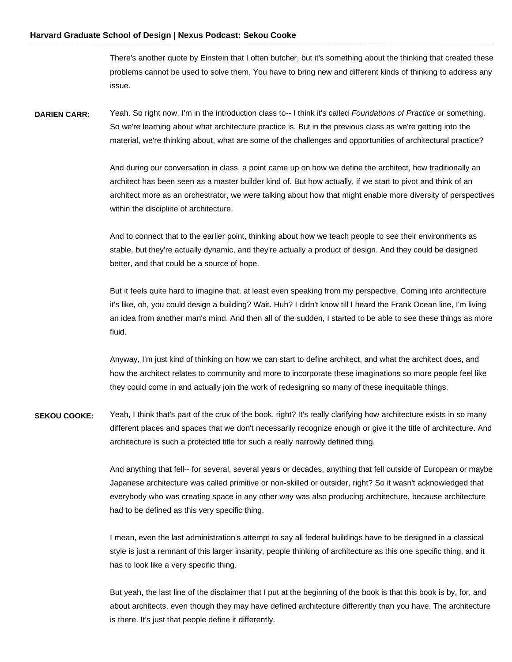There's another quote by Einstein that I often butcher, but it's something about the thinking that created these problems cannot be used to solve them. You have to bring new and different kinds of thinking to address any issue.

 **DARIEN CARR:** Yeah. So right now, I'm in the introduction class to-- I think it's called *Foundations of Practice* or something. So we're learning about what architecture practice is. But in the previous class as we're getting into the material, we're thinking about, what are some of the challenges and opportunities of architectural practice?

> And during our conversation in class, a point came up on how we define the architect, how traditionally an architect has been seen as a master builder kind of. But how actually, if we start to pivot and think of an architect more as an orchestrator, we were talking about how that might enable more diversity of perspectives within the discipline of architecture.

 And to connect that to the earlier point, thinking about how we teach people to see their environments as stable, but they're actually dynamic, and they're actually a product of design. And they could be designed better, and that could be a source of hope.

 But it feels quite hard to imagine that, at least even speaking from my perspective. Coming into architecture it's like, oh, you could design a building? Wait. Huh? I didn't know till I heard the Frank Ocean line, I'm living an idea from another man's mind. And then all of the sudden, I started to be able to see these things as more fluid.

 Anyway, I'm just kind of thinking on how we can start to define architect, and what the architect does, and how the architect relates to community and more to incorporate these imaginations so more people feel like they could come in and actually join the work of redesigning so many of these inequitable things.

 **SEKOU COOKE:** Yeah, I think that's part of the crux of the book, right? It's really clarifying how architecture exists in so many different places and spaces that we don't necessarily recognize enough or give it the title of architecture. And architecture is such a protected title for such a really narrowly defined thing.

> And anything that fell-- for several, several years or decades, anything that fell outside of European or maybe Japanese architecture was called primitive or non-skilled or outsider, right? So it wasn't acknowledged that everybody who was creating space in any other way was also producing architecture, because architecture had to be defined as this very specific thing.

 I mean, even the last administration's attempt to say all federal buildings have to be designed in a classical style is just a remnant of this larger insanity, people thinking of architecture as this one specific thing, and it has to look like a very specific thing.

 But yeah, the last line of the disclaimer that I put at the beginning of the book is that this book is by, for, and about architects, even though they may have defined architecture differently than you have. The architecture is there. It's just that people define it differently.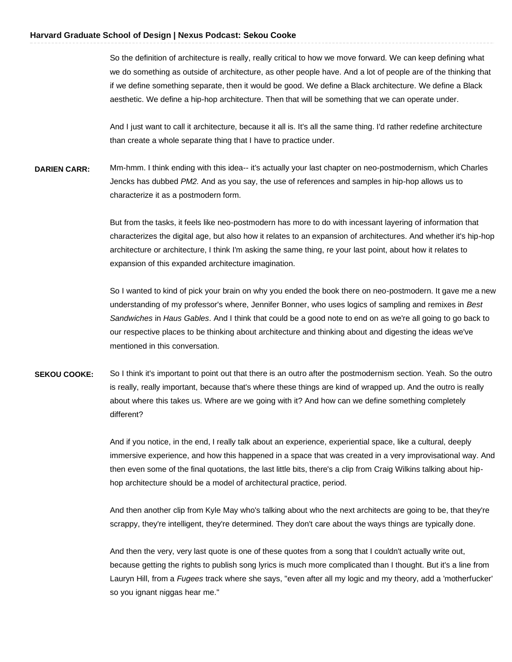So the definition of architecture is really, really critical to how we move forward. We can keep defining what we do something as outside of architecture, as other people have. And a lot of people are of the thinking that if we define something separate, then it would be good. We define a Black architecture. We define a Black aesthetic. We define a hip-hop architecture. Then that will be something that we can operate under.

 And I just want to call it architecture, because it all is. It's all the same thing. I'd rather redefine architecture than create a whole separate thing that I have to practice under.

 **DARIEN CARR:** Mm-hmm. I think ending with this idea-- it's actually your last chapter on neo-postmodernism, which Charles Jencks has dubbed *PM2.* And as you say, the use of references and samples in hip-hop allows us to characterize it as a postmodern form.

> But from the tasks, it feels like neo-postmodern has more to do with incessant layering of information that characterizes the digital age, but also how it relates to an expansion of architectures. And whether it's hip-hop architecture or architecture, I think I'm asking the same thing, re your last point, about how it relates to expansion of this expanded architecture imagination.

> So I wanted to kind of pick your brain on why you ended the book there on neo-postmodern. It gave me a new understanding of my professor's where, Jennifer Bonner, who uses logics of sampling and remixes in *Best Sandwiches* in *Haus Gables*. And I think that could be a good note to end on as we're all going to go back to our respective places to be thinking about architecture and thinking about and digesting the ideas we've mentioned in this conversation.

**SEKOU COOKE:** So I think it's important to point out that there is an outro after the postmodernism section. Yeah. So the outro is really, really important, because that's where these things are kind of wrapped up. And the outro is really about where this takes us. Where are we going with it? And how can we define something completely different?

> And if you notice, in the end, I really talk about an experience, experiential space, like a cultural, deeply immersive experience, and how this happened in a space that was created in a very improvisational way. And then even some of the final quotations, the last little bits, there's a clip from Craig Wilkins talking about hip-hop architecture should be a model of architectural practice, period.

 And then another clip from Kyle May who's talking about who the next architects are going to be, that they're scrappy, they're intelligent, they're determined. They don't care about the ways things are typically done.

 And then the very, very last quote is one of these quotes from a song that I couldn't actually write out, because getting the rights to publish song lyrics is much more complicated than I thought. But it's a line from Lauryn Hill, from a *Fugees* track where she says, "even after all my logic and my theory, add a 'motherfucker' so you ignant niggas hear me."